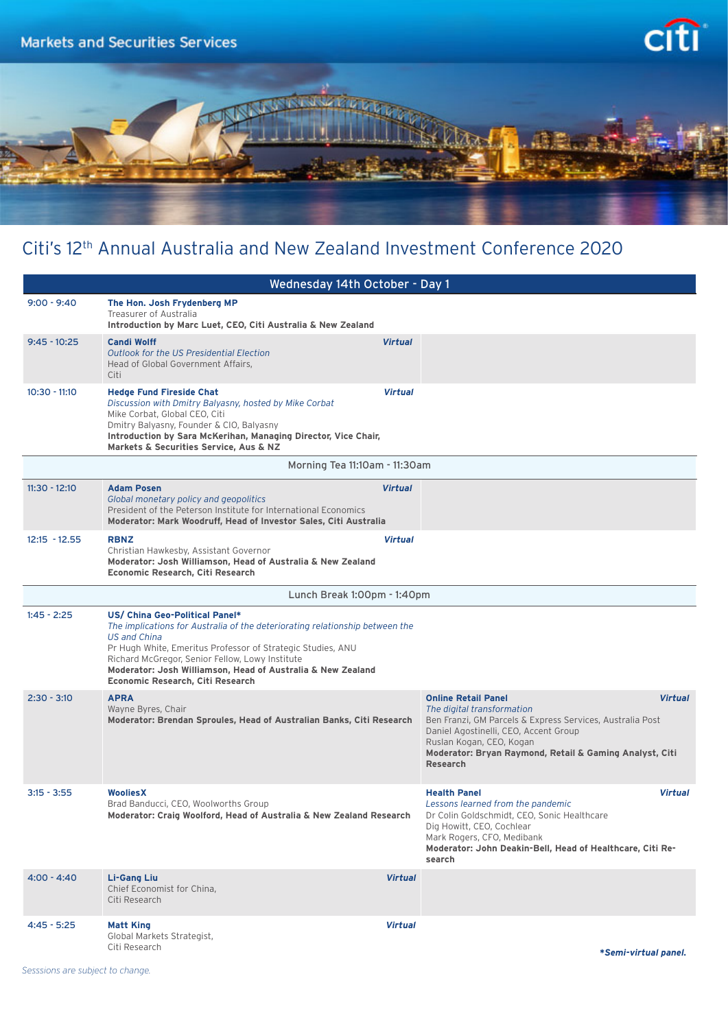

## Citi's 12th Annual Australia and New Zealand Investment Conference 2020

|                               | Wednesday 14th October - Day 1                                                                                                                                                                                                                                                                                                                             |                |                                                                                                                                                                                                                                                                                            |  |
|-------------------------------|------------------------------------------------------------------------------------------------------------------------------------------------------------------------------------------------------------------------------------------------------------------------------------------------------------------------------------------------------------|----------------|--------------------------------------------------------------------------------------------------------------------------------------------------------------------------------------------------------------------------------------------------------------------------------------------|--|
| $9:00 - 9:40$                 | The Hon. Josh Frydenberg MP<br>Treasurer of Australia<br>Introduction by Marc Luet, CEO, Citi Australia & New Zealand                                                                                                                                                                                                                                      |                |                                                                                                                                                                                                                                                                                            |  |
| $9:45 - 10:25$                | <b>Candi Wolff</b><br><b>Outlook for the US Presidential Election</b><br>Head of Global Government Affairs,<br>Citi                                                                                                                                                                                                                                        | <b>Virtual</b> |                                                                                                                                                                                                                                                                                            |  |
| $10:30 - 11:10$               | <b>Hedge Fund Fireside Chat</b><br>Discussion with Dmitry Balyasny, hosted by Mike Corbat<br>Mike Corbat, Global CEO, Citi<br>Dmitry Balyasny, Founder & CIO, Balyasny<br>Introduction by Sara McKerihan, Managing Director, Vice Chair,<br>Markets & Securities Service, Aus & NZ                                                                         | <b>Virtual</b> |                                                                                                                                                                                                                                                                                            |  |
| Morning Tea 11:10am - 11:30am |                                                                                                                                                                                                                                                                                                                                                            |                |                                                                                                                                                                                                                                                                                            |  |
| $11:30 - 12:10$               | <b>Adam Posen</b><br>Global monetary policy and geopolitics<br>President of the Peterson Institute for International Economics<br>Moderator: Mark Woodruff, Head of Investor Sales, Citi Australia                                                                                                                                                         | <b>Virtual</b> |                                                                                                                                                                                                                                                                                            |  |
| $12:15 - 12.55$               | <b>RBNZ</b><br>Christian Hawkesby, Assistant Governor<br>Moderator: Josh Williamson, Head of Australia & New Zealand<br>Economic Research, Citi Research                                                                                                                                                                                                   | <b>Virtual</b> |                                                                                                                                                                                                                                                                                            |  |
|                               | Lunch Break 1:00pm - 1:40pm                                                                                                                                                                                                                                                                                                                                |                |                                                                                                                                                                                                                                                                                            |  |
| $1:45 - 2:25$                 | US/ China Geo-Political Panel*<br>The implications for Australia of the deteriorating relationship between the<br><b>US and China</b><br>Pr Hugh White, Emeritus Professor of Strategic Studies, ANU<br>Richard McGregor, Senior Fellow, Lowy Institute<br>Moderator: Josh Williamson, Head of Australia & New Zealand<br>Economic Research, Citi Research |                |                                                                                                                                                                                                                                                                                            |  |
| $2:30 - 3:10$                 | <b>APRA</b><br>Wayne Byres, Chair<br>Moderator: Brendan Sproules, Head of Australian Banks, Citi Research                                                                                                                                                                                                                                                  |                | <b>Online Retail Panel</b><br><b>Virtual</b><br>The digital transformation<br>Ben Franzi, GM Parcels & Express Services, Australia Post<br>Daniel Agostinelli, CEO, Accent Group<br>Ruslan Kogan, CEO, Kogan<br>Moderator: Bryan Raymond, Retail & Gaming Analyst, Citi<br><b>Research</b> |  |
| $3:15 - 3:55$                 | <b>Woolies X</b><br>Brad Banducci, CEO, Woolworths Group<br>Moderator: Craig Woolford, Head of Australia & New Zealand Research                                                                                                                                                                                                                            |                | Virtual<br><b>Health Panel</b><br>Lessons learned from the pandemic<br>Dr Colin Goldschmidt, CEO, Sonic Healthcare<br>Dig Howitt, CEO, Cochlear<br>Mark Rogers, CFO, Medibank<br>Moderator: John Deakin-Bell, Head of Healthcare, Citi Re-<br>search                                       |  |
| $4:00 - 4:40$                 | <b>Li-Gang Liu</b><br>Chief Economist for China,<br>Citi Research                                                                                                                                                                                                                                                                                          | <b>Virtual</b> |                                                                                                                                                                                                                                                                                            |  |
| $4:45 - 5:25$                 | <b>Matt King</b><br>Global Markets Strategist,<br>Citi Research                                                                                                                                                                                                                                                                                            | <b>Virtual</b> | *Semi-virtual panel.                                                                                                                                                                                                                                                                       |  |

*Sesssions are subject to change.*